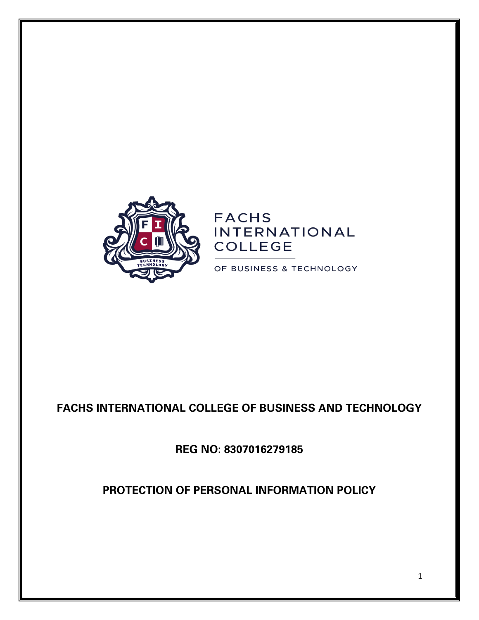

# **FACHS INTERNATIONAL COLLEGE**

OF BUSINESS & TECHNOLOGY

## **FACHS INTERNATIONAL COLLEGE OF BUSINESS AND TECHNOLOGY**

**REG NO: 8307016279185**

**PROTECTION OF PERSONAL INFORMATION POLICY**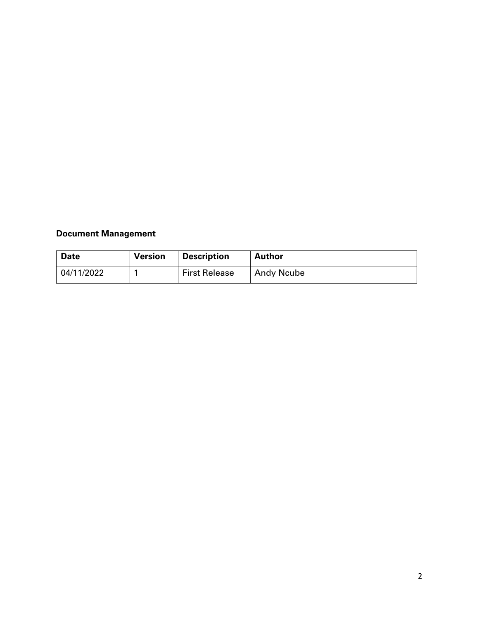## **Document Management**

| <b>Date</b> | <b>Version</b> | <b>Description</b>   | Author            |
|-------------|----------------|----------------------|-------------------|
| 04/11/2022  |                | <b>First Release</b> | <b>Andy Ncube</b> |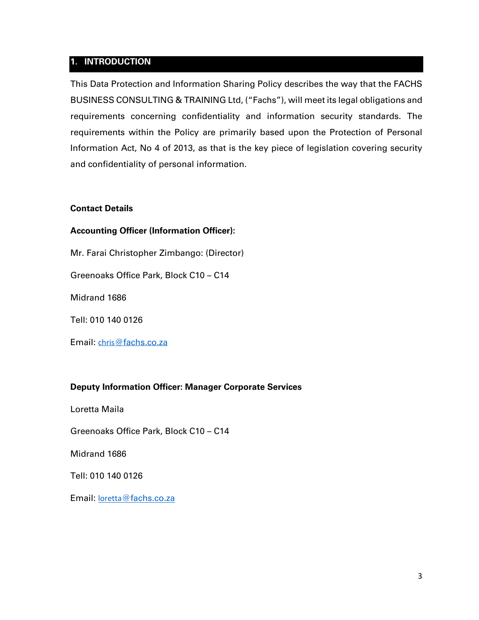#### **1. INTRODUCTION**

This Data Protection and Information Sharing Policy describes the way that the FACHS BUSINESS CONSULTING & TRAINING Ltd, ("Fachs"), will meet its legal obligations and requirements concerning confidentiality and information security standards. The requirements within the Policy are primarily based upon the Protection of Personal Information Act, No 4 of 2013, as that is the key piece of legislation covering security and confidentiality of personal information.

#### **Contact Details**

#### **Accounting Officer (Information Officer):**

Mr. Farai Christopher Zimbango: (Director)

Greenoaks Office Park, Block C10 – C14

Midrand 1686

Tell: 010 140 0126

Email: chris@fachs.co.za

#### **Deputy Information Officer: Manager Corporate Services**

Loretta Maila

Greenoaks Office Park, Block C10 – C14

Midrand 1686

Tell: 010 140 0126

Email: loretta@fachs.co.za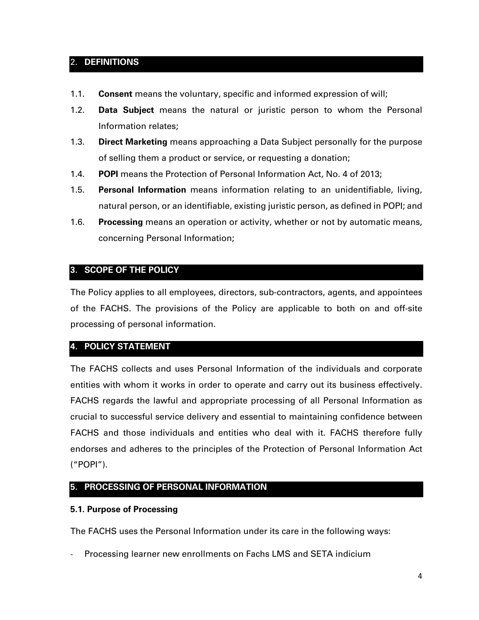## 2. **DEFINITIONS**

- 1.1. **Consent** means the voluntary, specific and informed expression of will;
- 1.2. **Data Subject** means the natural or juristic person to whom the Personal Information relates;
- 1.3. **Direct Marketing** means approaching a Data Subject personally for the purpose of selling them a product or service, or requesting a donation;
- 1.4. **POPI** means the Protection of Personal Information Act, No. 4 of 2013;
- 1.5. **Personal Information** means information relating to an unidentifiable, living, natural person, or an identifiable, existing juristic person, as defined in POPI; and
- 1.6. **Processing** means an operation or activity, whether or not by automatic means, concerning Personal Information;

## **3. SCOPE OF THE POLICY**

The Policy applies to all employees, directors, sub-contractors, agents, and appointees of the FACHS. The provisions of the Policy are applicable to both on and off-site processing of personal information.

## **4. POLICY STATEMENT**

The FACHS collects and uses Personal Information of the individuals and corporate entities with whom it works in order to operate and carry out its business effectively. FACHS regards the lawful and appropriate processing of all Personal Information as crucial to successful service delivery and essential to maintaining confidence between FACHS and those individuals and entities who deal with it. FACHS therefore fully endorses and adheres to the principles of the Protection of Personal Information Act ("POPI").

## **5. PROCESSING OF PERSONAL INFORMATION**

#### **5.1. Purpose of Processing**

The FACHS uses the Personal Information under its care in the following ways:

- Processing learner new enrollments on Fachs LMS and SETA indicium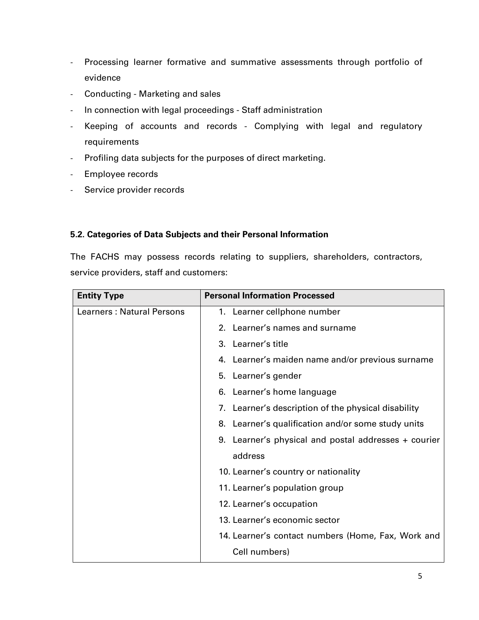- Processing learner formative and summative assessments through portfolio of evidence
- Conducting Marketing and sales
- In connection with legal proceedings Staff administration
- Keeping of accounts and records Complying with legal and regulatory requirements
- Profiling data subjects for the purposes of direct marketing.
- Employee records
- Service provider records

#### **5.2. Categories of Data Subjects and their Personal Information**

The FACHS may possess records relating to suppliers, shareholders, contractors, service providers, staff and customers:

| <b>Entity Type</b>               | <b>Personal Information Processed</b>                  |
|----------------------------------|--------------------------------------------------------|
| <b>Learners: Natural Persons</b> | 1. Learner cellphone number                            |
|                                  | 2. Learner's names and surname                         |
|                                  | 3. Learner's title                                     |
|                                  | 4. Learner's maiden name and/or previous surname       |
|                                  | 5. Learner's gender                                    |
|                                  | Learner's home language<br>6.                          |
|                                  | Learner's description of the physical disability<br>7. |
|                                  | Learner's qualification and/or some study units<br>8.  |
|                                  | 9. Learner's physical and postal addresses + courier   |
|                                  | address                                                |
|                                  | 10. Learner's country or nationality                   |
|                                  | 11. Learner's population group                         |
|                                  | 12. Learner's occupation                               |
|                                  | 13. Learner's economic sector                          |
|                                  | 14. Learner's contact numbers (Home, Fax, Work and     |
|                                  | Cell numbers)                                          |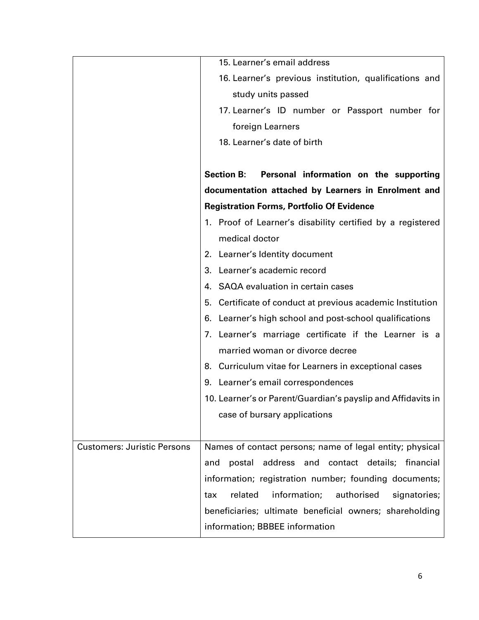|                                    | 15. Learner's email address                                   |  |  |
|------------------------------------|---------------------------------------------------------------|--|--|
|                                    | 16. Learner's previous institution, qualifications and        |  |  |
|                                    | study units passed                                            |  |  |
|                                    | 17. Learner's ID number or Passport number for                |  |  |
|                                    | foreign Learners                                              |  |  |
|                                    | 18. Learner's date of birth                                   |  |  |
|                                    |                                                               |  |  |
|                                    | Personal information on the supporting<br><b>Section B:</b>   |  |  |
|                                    | documentation attached by Learners in Enrolment and           |  |  |
|                                    | <b>Registration Forms, Portfolio Of Evidence</b>              |  |  |
|                                    | 1. Proof of Learner's disability certified by a registered    |  |  |
|                                    | medical doctor                                                |  |  |
|                                    | 2. Learner's Identity document                                |  |  |
|                                    | 3. Learner's academic record                                  |  |  |
|                                    | 4. SAQA evaluation in certain cases                           |  |  |
|                                    | Certificate of conduct at previous academic Institution<br>5. |  |  |
|                                    | 6. Learner's high school and post-school qualifications       |  |  |
|                                    | 7. Learner's marriage certificate if the Learner is a         |  |  |
|                                    | married woman or divorce decree                               |  |  |
|                                    | 8. Curriculum vitae for Learners in exceptional cases         |  |  |
|                                    | Learner's email correspondences<br>9.                         |  |  |
|                                    | 10. Learner's or Parent/Guardian's payslip and Affidavits in  |  |  |
|                                    | case of bursary applications                                  |  |  |
|                                    |                                                               |  |  |
| <b>Customers: Juristic Persons</b> | Names of contact persons; name of legal entity; physical      |  |  |
|                                    | address and contact details;<br>postal<br>financial<br>and    |  |  |
|                                    | information; registration number; founding documents;         |  |  |
|                                    | related<br>information;<br>authorised<br>signatories;<br>tax  |  |  |
|                                    | beneficiaries; ultimate beneficial owners; shareholding       |  |  |
|                                    | information; BBBEE information                                |  |  |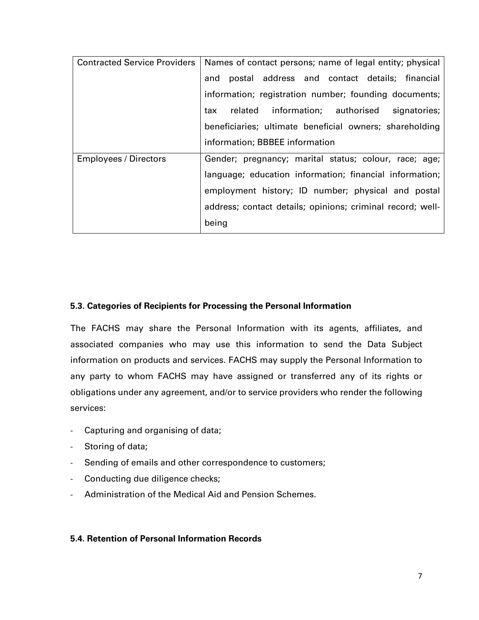| <b>Contracted Service Providers</b> | Names of contact persons; name of legal entity; physical   |
|-------------------------------------|------------------------------------------------------------|
|                                     | postal address and contact details; financial<br>and       |
|                                     | information; registration number; founding documents;      |
|                                     | related information; authorised signatories;<br>tax        |
|                                     | beneficiaries; ultimate beneficial owners; shareholding    |
|                                     | information; BBBEE information                             |
| <b>Employees / Directors</b>        | Gender; pregnancy; marital status; colour, race; age;      |
|                                     | language; education information; financial information;    |
|                                     | employment history; ID number; physical and postal         |
|                                     | address; contact details; opinions; criminal record; well- |
|                                     | being                                                      |

#### **5.3. Categories of Recipients for Processing the Personal Information**

The FACHS may share the Personal Information with its agents, affiliates, and associated companies who may use this information to send the Data Subject information on products and services. FACHS may supply the Personal Information to any party to whom FACHS may have assigned or transferred any of its rights or obligations under any agreement, and/or to service providers who render the following services:

- Capturing and organising of data;
- Storing of data;
- Sending of emails and other correspondence to customers;
- Conducting due diligence checks;
- Administration of the Medical Aid and Pension Schemes.

## **5.4. Retention of Personal Information Records**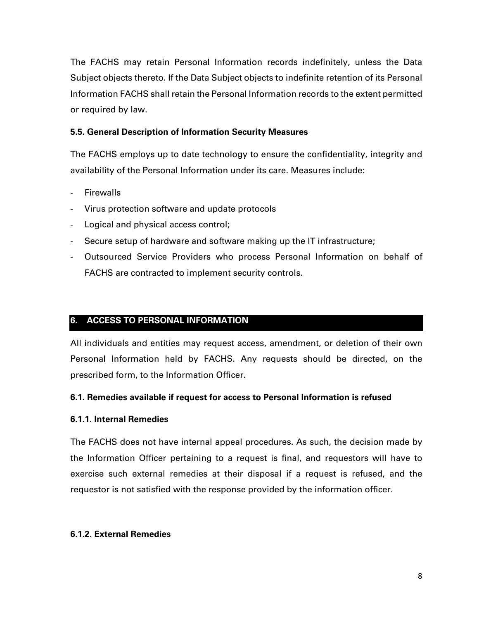The FACHS may retain Personal Information records indefinitely, unless the Data Subject objects thereto. If the Data Subject objects to indefinite retention of its Personal Information FACHS shall retain the Personal Information records to the extent permitted or required by law.

#### **5.5. General Description of Information Security Measures**

The FACHS employs up to date technology to ensure the confidentiality, integrity and availability of the Personal Information under its care. Measures include:

- **Firewalls**
- Virus protection software and update protocols
- Logical and physical access control;
- Secure setup of hardware and software making up the IT infrastructure;
- Outsourced Service Providers who process Personal Information on behalf of FACHS are contracted to implement security controls.

#### **6. ACCESS TO PERSONAL INFORMATION**

All individuals and entities may request access, amendment, or deletion of their own Personal Information held by FACHS. Any requests should be directed, on the prescribed form, to the Information Officer.

#### **6.1. Remedies available if request for access to Personal Information is refused**

#### **6.1.1. Internal Remedies**

The FACHS does not have internal appeal procedures. As such, the decision made by the Information Officer pertaining to a request is final, and requestors will have to exercise such external remedies at their disposal if a request is refused, and the requestor is not satisfied with the response provided by the information officer.

#### **6.1.2. External Remedies**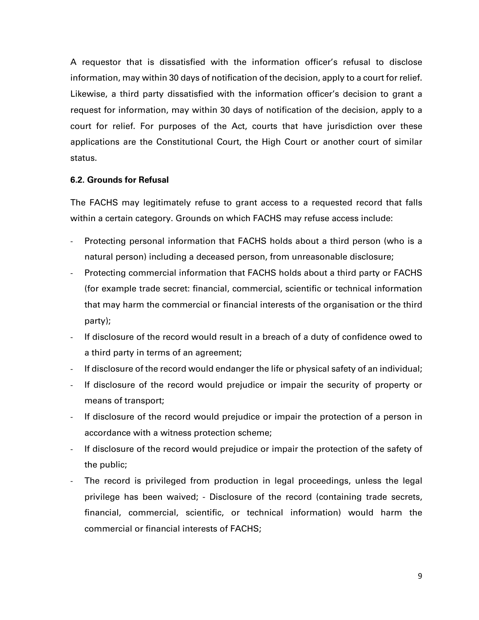A requestor that is dissatisfied with the information officer's refusal to disclose information, may within 30 days of notification of the decision, apply to a court for relief. Likewise, a third party dissatisfied with the information officer's decision to grant a request for information, may within 30 days of notification of the decision, apply to a court for relief. For purposes of the Act, courts that have jurisdiction over these applications are the Constitutional Court, the High Court or another court of similar status.

#### **6.2. Grounds for Refusal**

The FACHS may legitimately refuse to grant access to a requested record that falls within a certain category. Grounds on which FACHS may refuse access include:

- Protecting personal information that FACHS holds about a third person (who is a natural person) including a deceased person, from unreasonable disclosure;
- Protecting commercial information that FACHS holds about a third party or FACHS (for example trade secret: financial, commercial, scientific or technical information that may harm the commercial or financial interests of the organisation or the third party);
- If disclosure of the record would result in a breach of a duty of confidence owed to a third party in terms of an agreement;
- If disclosure of the record would endanger the life or physical safety of an individual;
- If disclosure of the record would prejudice or impair the security of property or means of transport;
- If disclosure of the record would prejudice or impair the protection of a person in accordance with a witness protection scheme;
- If disclosure of the record would prejudice or impair the protection of the safety of the public;
- The record is privileged from production in legal proceedings, unless the legal privilege has been waived; - Disclosure of the record (containing trade secrets, financial, commercial, scientific, or technical information) would harm the commercial or financial interests of FACHS;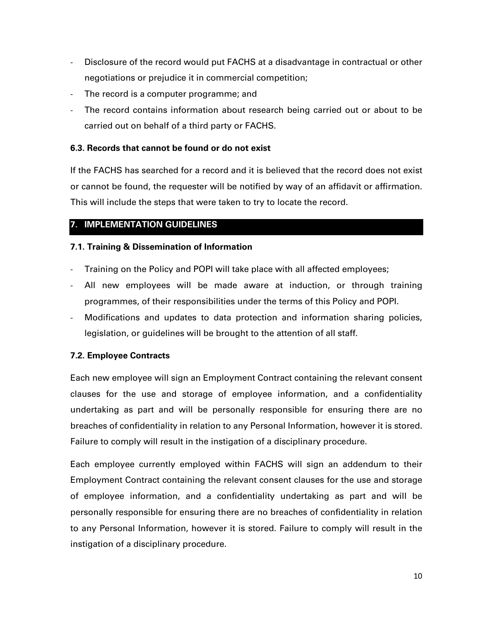- Disclosure of the record would put FACHS at a disadvantage in contractual or other negotiations or prejudice it in commercial competition;
- The record is a computer programme; and
- The record contains information about research being carried out or about to be carried out on behalf of a third party or FACHS.

## **6.3. Records that cannot be found or do not exist**

If the FACHS has searched for a record and it is believed that the record does not exist or cannot be found, the requester will be notified by way of an affidavit or affirmation. This will include the steps that were taken to try to locate the record.

## **7. IMPLEMENTATION GUIDELINES**

## **7.1. Training & Dissemination of Information**

- Training on the Policy and POPI will take place with all affected employees;
- All new employees will be made aware at induction, or through training programmes, of their responsibilities under the terms of this Policy and POPI.
- Modifications and updates to data protection and information sharing policies, legislation, or guidelines will be brought to the attention of all staff.

## **7.2. Employee Contracts**

Each new employee will sign an Employment Contract containing the relevant consent clauses for the use and storage of employee information, and a confidentiality undertaking as part and will be personally responsible for ensuring there are no breaches of confidentiality in relation to any Personal Information, however it is stored. Failure to comply will result in the instigation of a disciplinary procedure.

Each employee currently employed within FACHS will sign an addendum to their Employment Contract containing the relevant consent clauses for the use and storage of employee information, and a confidentiality undertaking as part and will be personally responsible for ensuring there are no breaches of confidentiality in relation to any Personal Information, however it is stored. Failure to comply will result in the instigation of a disciplinary procedure.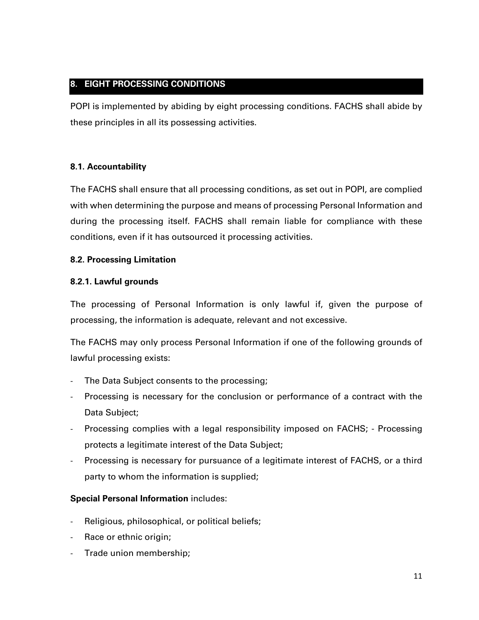## **8. EIGHT PROCESSING CONDITIONS**

POPI is implemented by abiding by eight processing conditions. FACHS shall abide by these principles in all its possessing activities.

## **8.1. Accountability**

The FACHS shall ensure that all processing conditions, as set out in POPI, are complied with when determining the purpose and means of processing Personal Information and during the processing itself. FACHS shall remain liable for compliance with these conditions, even if it has outsourced it processing activities.

## **8.2. Processing Limitation**

## **8.2.1. Lawful grounds**

The processing of Personal Information is only lawful if, given the purpose of processing, the information is adequate, relevant and not excessive.

The FACHS may only process Personal Information if one of the following grounds of lawful processing exists:

- The Data Subject consents to the processing;
- Processing is necessary for the conclusion or performance of a contract with the Data Subject;
- Processing complies with a legal responsibility imposed on FACHS; Processing protects a legitimate interest of the Data Subject;
- Processing is necessary for pursuance of a legitimate interest of FACHS, or a third party to whom the information is supplied;

## **Special Personal Information** includes:

- Religious, philosophical, or political beliefs;
- Race or ethnic origin;
- Trade union membership;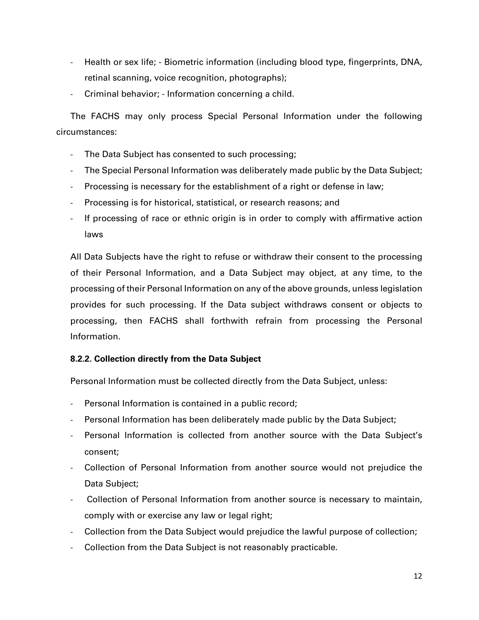- Health or sex life; Biometric information (including blood type, fingerprints, DNA, retinal scanning, voice recognition, photographs);
- Criminal behavior; Information concerning a child.

The FACHS may only process Special Personal Information under the following circumstances:

- The Data Subject has consented to such processing;
- The Special Personal Information was deliberately made public by the Data Subject;
- Processing is necessary for the establishment of a right or defense in law;
- Processing is for historical, statistical, or research reasons; and
- If processing of race or ethnic origin is in order to comply with affirmative action laws

All Data Subjects have the right to refuse or withdraw their consent to the processing of their Personal Information, and a Data Subject may object, at any time, to the processing of their Personal Information on any of the above grounds, unless legislation provides for such processing. If the Data subject withdraws consent or objects to processing, then FACHS shall forthwith refrain from processing the Personal Information.

## **8.2.2. Collection directly from the Data Subject**

Personal Information must be collected directly from the Data Subject, unless:

- Personal Information is contained in a public record;
- Personal Information has been deliberately made public by the Data Subject;
- Personal Information is collected from another source with the Data Subject's consent;
- Collection of Personal Information from another source would not prejudice the Data Subject;
- Collection of Personal Information from another source is necessary to maintain, comply with or exercise any law or legal right;
- Collection from the Data Subject would prejudice the lawful purpose of collection;
- Collection from the Data Subject is not reasonably practicable.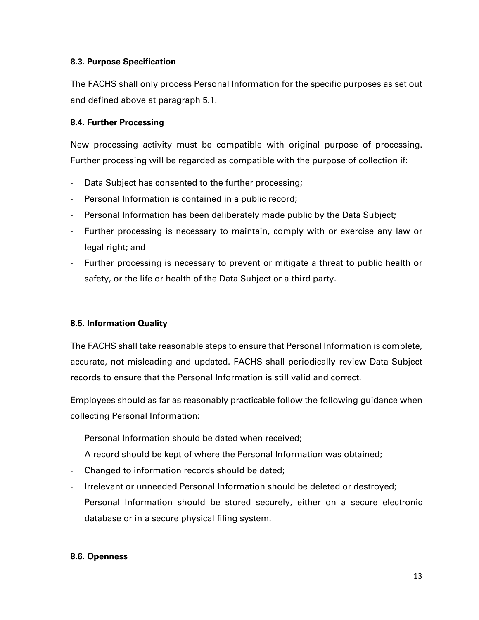#### **8.3. Purpose Specification**

The FACHS shall only process Personal Information for the specific purposes as set out and defined above at paragraph 5.1.

#### **8.4. Further Processing**

New processing activity must be compatible with original purpose of processing. Further processing will be regarded as compatible with the purpose of collection if:

- Data Subject has consented to the further processing;
- Personal Information is contained in a public record;
- Personal Information has been deliberately made public by the Data Subject;
- Further processing is necessary to maintain, comply with or exercise any law or legal right; and
- Further processing is necessary to prevent or mitigate a threat to public health or safety, or the life or health of the Data Subject or a third party.

## **8.5. Information Quality**

The FACHS shall take reasonable steps to ensure that Personal Information is complete, accurate, not misleading and updated. FACHS shall periodically review Data Subject records to ensure that the Personal Information is still valid and correct.

Employees should as far as reasonably practicable follow the following guidance when collecting Personal Information:

- Personal Information should be dated when received;
- A record should be kept of where the Personal Information was obtained;
- Changed to information records should be dated;
- Irrelevant or unneeded Personal Information should be deleted or destroyed;
- Personal Information should be stored securely, either on a secure electronic database or in a secure physical filing system.

#### **8.6. Openness**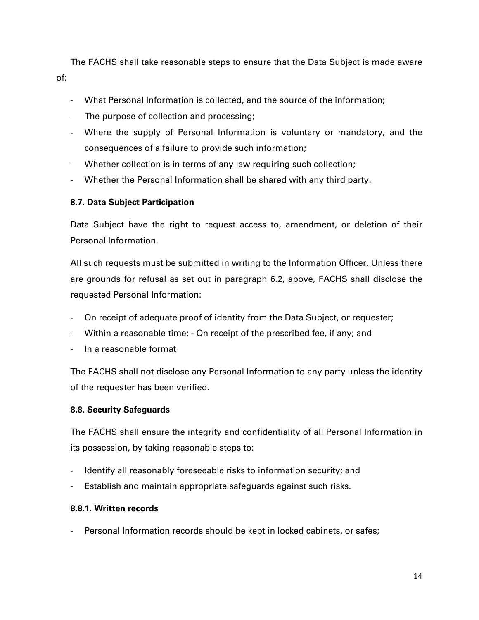The FACHS shall take reasonable steps to ensure that the Data Subject is made aware of:

- What Personal Information is collected, and the source of the information;
- The purpose of collection and processing;
- Where the supply of Personal Information is voluntary or mandatory, and the consequences of a failure to provide such information;
- Whether collection is in terms of any law requiring such collection;
- Whether the Personal Information shall be shared with any third party.

## **8.7. Data Subject Participation**

Data Subject have the right to request access to, amendment, or deletion of their Personal Information.

All such requests must be submitted in writing to the Information Officer. Unless there are grounds for refusal as set out in paragraph 6.2, above, FACHS shall disclose the requested Personal Information:

- On receipt of adequate proof of identity from the Data Subject, or requester;
- Within a reasonable time; On receipt of the prescribed fee, if any; and
- In a reasonable format

The FACHS shall not disclose any Personal Information to any party unless the identity of the requester has been verified.

## **8.8. Security Safeguards**

The FACHS shall ensure the integrity and confidentiality of all Personal Information in its possession, by taking reasonable steps to:

- Identify all reasonably foreseeable risks to information security; and
- Establish and maintain appropriate safeguards against such risks.

## **8.8.1. Written records**

Personal Information records should be kept in locked cabinets, or safes;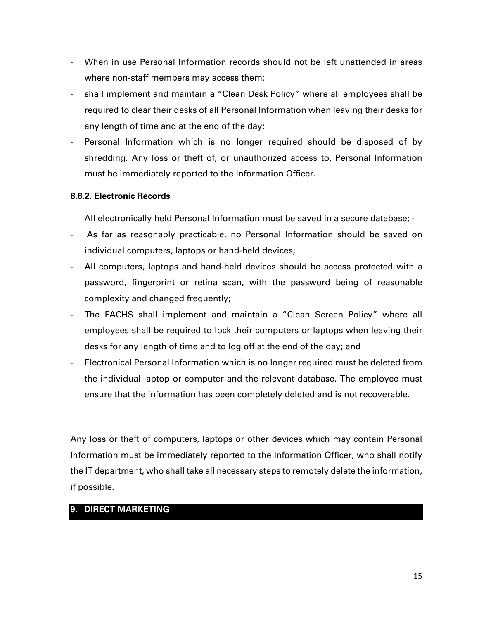- When in use Personal Information records should not be left unattended in areas where non-staff members may access them;
- shall implement and maintain a "Clean Desk Policy" where all employees shall be required to clear their desks of all Personal Information when leaving their desks for any length of time and at the end of the day;
- Personal Information which is no longer required should be disposed of by shredding. Any loss or theft of, or unauthorized access to, Personal Information must be immediately reported to the Information Officer.

## **8.8.2. Electronic Records**

- All electronically held Personal Information must be saved in a secure database; -
- As far as reasonably practicable, no Personal Information should be saved on individual computers, laptops or hand-held devices;
- All computers, laptops and hand-held devices should be access protected with a password, fingerprint or retina scan, with the password being of reasonable complexity and changed frequently;
- The FACHS shall implement and maintain a "Clean Screen Policy" where all employees shall be required to lock their computers or laptops when leaving their desks for any length of time and to log off at the end of the day; and
- Electronical Personal Information which is no longer required must be deleted from the individual laptop or computer and the relevant database. The employee must ensure that the information has been completely deleted and is not recoverable.

Any loss or theft of computers, laptops or other devices which may contain Personal Information must be immediately reported to the Information Officer, who shall notify the IT department, who shall take all necessary steps to remotely delete the information, if possible.

## **9. DIRECT MARKETING**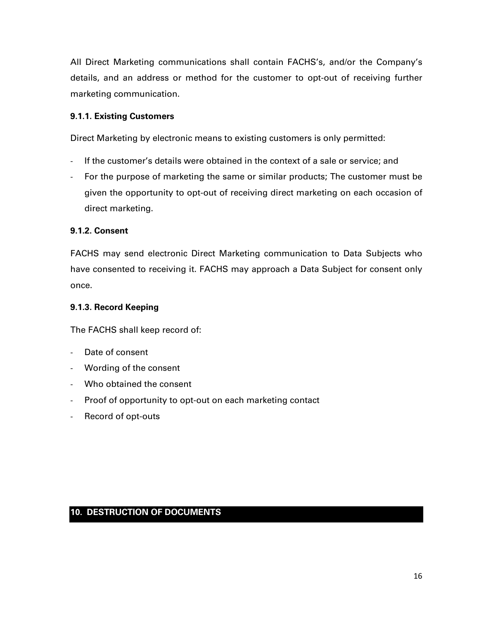All Direct Marketing communications shall contain FACHS's, and/or the Company's details, and an address or method for the customer to opt-out of receiving further marketing communication.

## **9.1.1. Existing Customers**

Direct Marketing by electronic means to existing customers is only permitted:

- If the customer's details were obtained in the context of a sale or service; and
- For the purpose of marketing the same or similar products; The customer must be given the opportunity to opt-out of receiving direct marketing on each occasion of direct marketing.

#### **9.1.2. Consent**

FACHS may send electronic Direct Marketing communication to Data Subjects who have consented to receiving it. FACHS may approach a Data Subject for consent only once.

#### **9.1.3. Record Keeping**

The FACHS shall keep record of:

- Date of consent
- Wording of the consent
- Who obtained the consent
- Proof of opportunity to opt-out on each marketing contact
- Record of opt-outs

## **10. DESTRUCTION OF DOCUMENTS**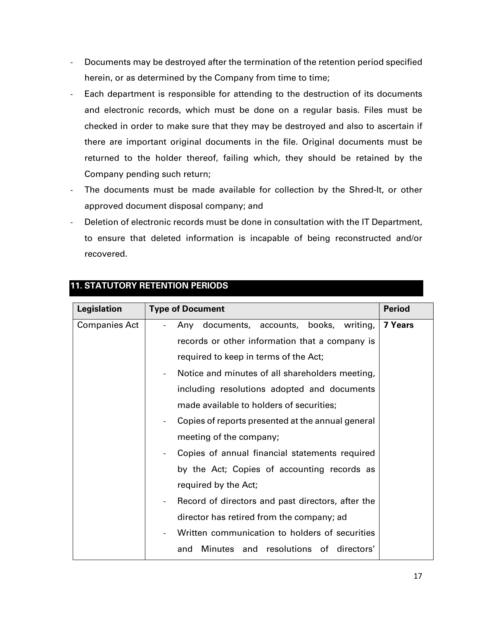- Documents may be destroyed after the termination of the retention period specified herein, or as determined by the Company from time to time;
- Each department is responsible for attending to the destruction of its documents and electronic records, which must be done on a regular basis. Files must be checked in order to make sure that they may be destroyed and also to ascertain if there are important original documents in the file. Original documents must be returned to the holder thereof, failing which, they should be retained by the Company pending such return;
- The documents must be made available for collection by the Shred-It, or other approved document disposal company; and
- Deletion of electronic records must be done in consultation with the IT Department, to ensure that deleted information is incapable of being reconstructed and/or recovered.

| Legislation          | <b>Type of Document</b>                                                       | <b>Period</b> |
|----------------------|-------------------------------------------------------------------------------|---------------|
| <b>Companies Act</b> | Any documents, accounts, books, writing,                                      | 7 Years       |
|                      | records or other information that a company is                                |               |
|                      | required to keep in terms of the Act;                                         |               |
|                      | Notice and minutes of all shareholders meeting,<br>$\overline{\phantom{0}}$   |               |
|                      | including resolutions adopted and documents                                   |               |
|                      | made available to holders of securities;                                      |               |
|                      | Copies of reports presented at the annual general<br>$\overline{\phantom{0}}$ |               |
|                      | meeting of the company;                                                       |               |
|                      | Copies of annual financial statements required<br>$\overline{\phantom{a}}$    |               |
|                      | by the Act; Copies of accounting records as                                   |               |
|                      | required by the Act;                                                          |               |
|                      | Record of directors and past directors, after the<br>$\overline{\phantom{a}}$ |               |
|                      | director has retired from the company; ad                                     |               |
|                      | Written communication to holders of securities                                |               |
|                      | Minutes and resolutions of directors'<br>and                                  |               |

## **11. STATUTORY RETENTION PERIODS**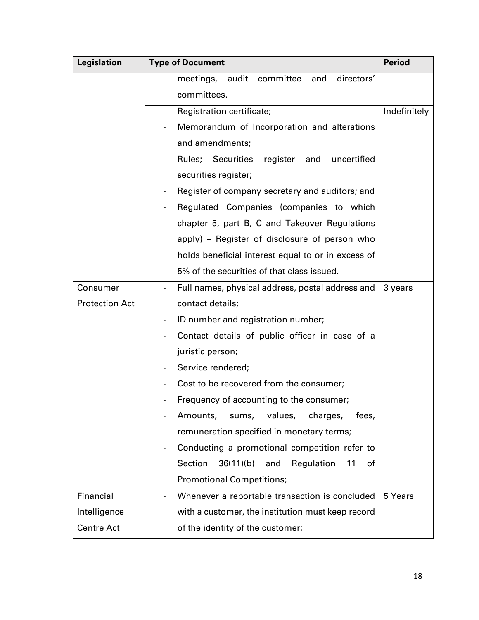| <b>Legislation</b>    | <b>Type of Document</b>                                             | <b>Period</b> |
|-----------------------|---------------------------------------------------------------------|---------------|
|                       | meetings, audit<br>committee<br>directors'<br>and                   |               |
|                       | committees.                                                         |               |
|                       | Registration certificate;                                           | Indefinitely  |
|                       | Memorandum of Incorporation and alterations                         |               |
|                       | and amendments;                                                     |               |
|                       | Rules; Securities<br>register<br>and<br>uncertified                 |               |
|                       | securities register;                                                |               |
|                       | Register of company secretary and auditors; and                     |               |
|                       | Regulated Companies (companies to which<br>$\overline{\phantom{a}}$ |               |
|                       | chapter 5, part B, C and Takeover Regulations                       |               |
|                       | apply) – Register of disclosure of person who                       |               |
|                       | holds beneficial interest equal to or in excess of                  |               |
|                       | 5% of the securities of that class issued.                          |               |
| Consumer              | Full names, physical address, postal address and                    | 3 years       |
| <b>Protection Act</b> | contact details;                                                    |               |
|                       | ID number and registration number;<br>$\overline{\phantom{a}}$      |               |
|                       | Contact details of public officer in case of a                      |               |
|                       | juristic person;                                                    |               |
|                       | Service rendered;                                                   |               |
|                       | Cost to be recovered from the consumer;                             |               |
|                       | Frequency of accounting to the consumer;                            |               |
|                       | Amounts,<br>values,<br>sums,<br>charges,<br>fees,                   |               |
|                       | remuneration specified in monetary terms;                           |               |
|                       | Conducting a promotional competition refer to                       |               |
|                       | Section<br>36(11)(b)<br>and<br>Regulation<br>11<br>0f               |               |
|                       | <b>Promotional Competitions;</b>                                    |               |
| Financial             | Whenever a reportable transaction is concluded                      | 5 Years       |
| Intelligence          | with a customer, the institution must keep record                   |               |
| <b>Centre Act</b>     | of the identity of the customer;                                    |               |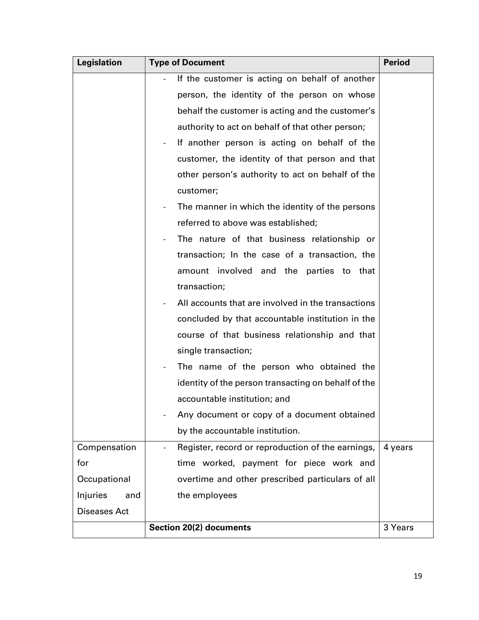| <b>Legislation</b>  | <b>Type of Document</b>                                                       | <b>Period</b> |
|---------------------|-------------------------------------------------------------------------------|---------------|
|                     | If the customer is acting on behalf of another                                |               |
|                     | person, the identity of the person on whose                                   |               |
|                     | behalf the customer is acting and the customer's                              |               |
|                     | authority to act on behalf of that other person;                              |               |
|                     | If another person is acting on behalf of the                                  |               |
|                     | customer, the identity of that person and that                                |               |
|                     | other person's authority to act on behalf of the                              |               |
|                     | customer;                                                                     |               |
|                     | The manner in which the identity of the persons                               |               |
|                     | referred to above was established;                                            |               |
|                     | The nature of that business relationship or                                   |               |
|                     | transaction; In the case of a transaction, the                                |               |
|                     | amount involved and the parties to that                                       |               |
|                     | transaction;                                                                  |               |
|                     | All accounts that are involved in the transactions                            |               |
|                     | concluded by that accountable institution in the                              |               |
|                     | course of that business relationship and that                                 |               |
|                     | single transaction;                                                           |               |
|                     | The name of the person who obtained the                                       |               |
|                     | identity of the person transacting on behalf of the                           |               |
|                     | accountable institution; and                                                  |               |
|                     | Any document or copy of a document obtained                                   |               |
|                     | by the accountable institution.                                               |               |
| Compensation        | Register, record or reproduction of the earnings,<br>$\overline{\phantom{a}}$ | 4 years       |
| for                 | time worked, payment for piece work and                                       |               |
| Occupational        | overtime and other prescribed particulars of all                              |               |
| Injuries<br>and     | the employees                                                                 |               |
| <b>Diseases Act</b> |                                                                               |               |
|                     | <b>Section 20(2) documents</b>                                                | 3 Years       |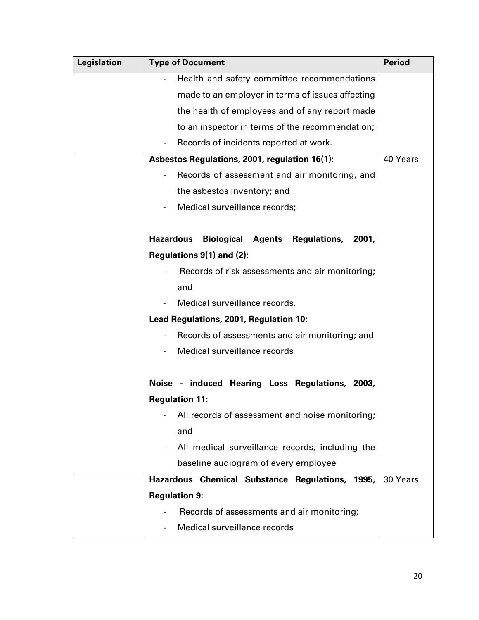| <b>Legislation</b> | <b>Type of Document</b>                                            | <b>Period</b> |
|--------------------|--------------------------------------------------------------------|---------------|
|                    | Health and safety committee recommendations                        |               |
|                    | made to an employer in terms of issues affecting                   |               |
|                    | the health of employees and of any report made                     |               |
|                    | to an inspector in terms of the recommendation;                    |               |
|                    | Records of incidents reported at work.                             |               |
|                    | Asbestos Regulations, 2001, regulation 16(1):                      | 40 Years      |
|                    | Records of assessment and air monitoring, and                      |               |
|                    | the asbestos inventory; and                                        |               |
|                    | Medical surveillance records;                                      |               |
|                    |                                                                    |               |
|                    | <b>Hazardous</b><br><b>Biological Agents Regulations,</b><br>2001, |               |
|                    | Regulations 9(1) and (2):                                          |               |
|                    | Records of risk assessments and air monitoring;                    |               |
|                    | and                                                                |               |
|                    | Medical surveillance records.                                      |               |
|                    | Lead Regulations, 2001, Regulation 10:                             |               |
|                    | Records of assessments and air monitoring; and                     |               |
|                    | Medical surveillance records                                       |               |
|                    |                                                                    |               |
|                    | Noise - induced Hearing Loss Regulations, 2003,                    |               |
|                    | <b>Regulation 11:</b>                                              |               |
|                    | All records of assessment and noise monitoring;                    |               |
|                    | and                                                                |               |
|                    | All medical surveillance records, including the                    |               |
|                    | baseline audiogram of every employee                               |               |
|                    | Hazardous Chemical Substance Regulations, 1995,                    | 30 Years      |
|                    | <b>Regulation 9:</b>                                               |               |
|                    | Records of assessments and air monitoring;                         |               |
|                    | Medical surveillance records                                       |               |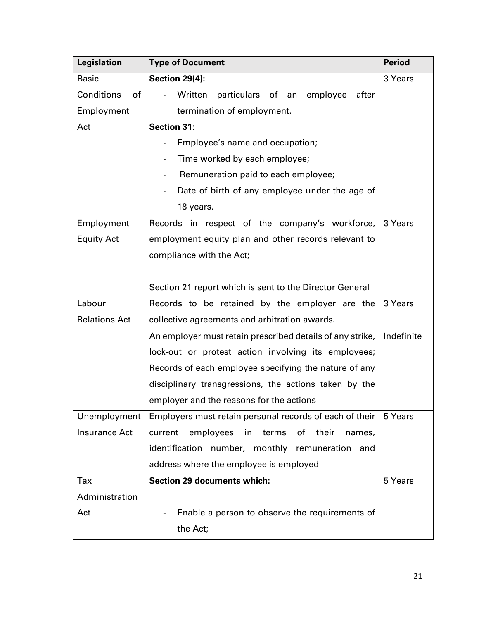| <b>Legislation</b>   | <b>Type of Document</b>                                      | <b>Period</b> |
|----------------------|--------------------------------------------------------------|---------------|
| <b>Basic</b>         | <b>Section 29(4):</b>                                        | 3 Years       |
| Conditions<br>of     | Written<br>particulars of an<br>after<br>employee            |               |
| Employment           | termination of employment.                                   |               |
| Act                  | <b>Section 31:</b>                                           |               |
|                      | Employee's name and occupation;                              |               |
|                      | Time worked by each employee;                                |               |
|                      | Remuneration paid to each employee;                          |               |
|                      | Date of birth of any employee under the age of               |               |
|                      | 18 years.                                                    |               |
| Employment           | Records in respect of the company's workforce,               | 3 Years       |
| <b>Equity Act</b>    | employment equity plan and other records relevant to         |               |
|                      | compliance with the Act;                                     |               |
|                      |                                                              |               |
|                      | Section 21 report which is sent to the Director General      |               |
| Labour               | Records to be retained by the employer are the               | 3 Years       |
| <b>Relations Act</b> | collective agreements and arbitration awards.                |               |
|                      | An employer must retain prescribed details of any strike,    | Indefinite    |
|                      | lock-out or protest action involving its employees;          |               |
|                      | Records of each employee specifying the nature of any        |               |
|                      | disciplinary transgressions, the actions taken by the        |               |
|                      | employer and the reasons for the actions                     |               |
| Unemployment         | Employers must retain personal records of each of their      | 5 Years       |
| <b>Insurance Act</b> | current<br>employees<br>their<br>in<br>terms<br>οf<br>names, |               |
|                      | identification number, monthly remuneration<br>and           |               |
|                      | address where the employee is employed                       |               |
| Tax                  | <b>Section 29 documents which:</b>                           | 5 Years       |
| Administration       |                                                              |               |
| Act                  | Enable a person to observe the requirements of               |               |
|                      | the Act;                                                     |               |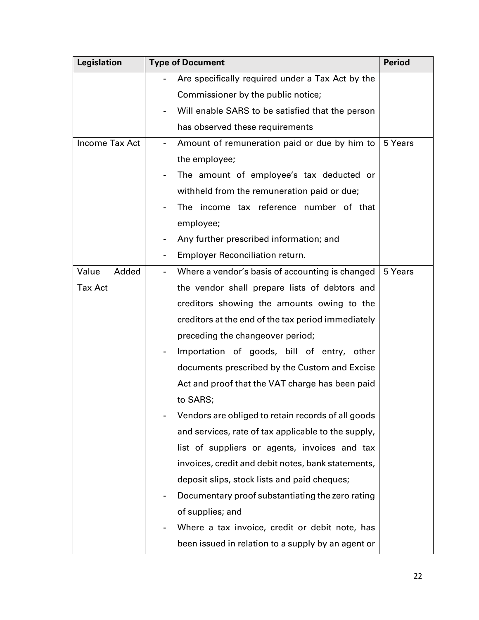| <b>Legislation</b>    | <b>Type of Document</b>                             | <b>Period</b> |
|-----------------------|-----------------------------------------------------|---------------|
|                       | Are specifically required under a Tax Act by the    |               |
|                       | Commissioner by the public notice;                  |               |
|                       | Will enable SARS to be satisfied that the person    |               |
|                       | has observed these requirements                     |               |
| <b>Income Tax Act</b> | Amount of remuneration paid or due by him to        | 5 Years       |
|                       | the employee;                                       |               |
|                       | The amount of employee's tax deducted or            |               |
|                       | withheld from the remuneration paid or due;         |               |
|                       | The income tax reference number of that             |               |
|                       | employee;                                           |               |
|                       | Any further prescribed information; and             |               |
|                       | <b>Employer Reconciliation return.</b>              |               |
| Added<br>Value        | Where a vendor's basis of accounting is changed     | 5 Years       |
| <b>Tax Act</b>        | the vendor shall prepare lists of debtors and       |               |
|                       | creditors showing the amounts owing to the          |               |
|                       | creditors at the end of the tax period immediately  |               |
|                       | preceding the changeover period;                    |               |
|                       | Importation of goods, bill of entry, other          |               |
|                       | documents prescribed by the Custom and Excise       |               |
|                       | Act and proof that the VAT charge has been paid     |               |
|                       | to SARS;                                            |               |
|                       | Vendors are obliged to retain records of all goods  |               |
|                       | and services, rate of tax applicable to the supply, |               |
|                       | list of suppliers or agents, invoices and tax       |               |
|                       | invoices, credit and debit notes, bank statements,  |               |
|                       | deposit slips, stock lists and paid cheques;        |               |
|                       | Documentary proof substantiating the zero rating    |               |
|                       | of supplies; and                                    |               |
|                       | Where a tax invoice, credit or debit note, has      |               |
|                       | been issued in relation to a supply by an agent or  |               |